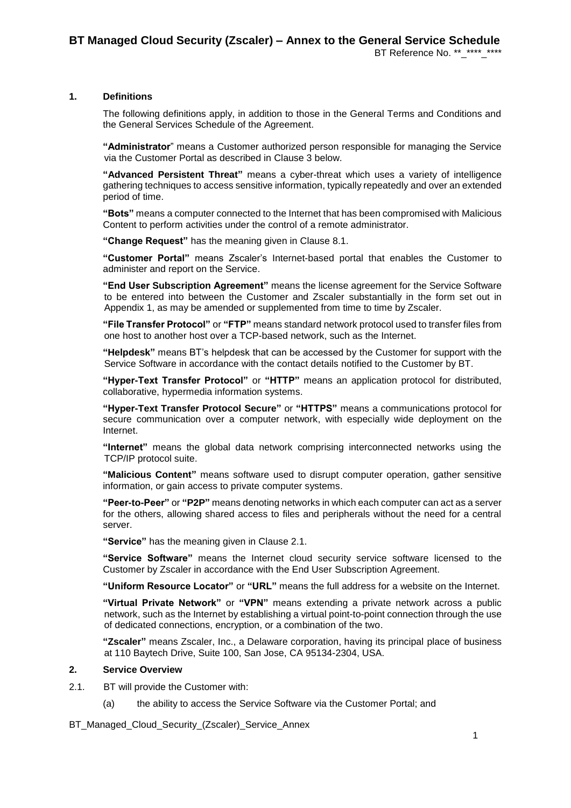BT Reference No. \*\* \*\*\*\* \*\*\*\*

## **1. Definitions**

The following definitions apply, in addition to those in the General Terms and Conditions and the General Services Schedule of the Agreement.

**"Administrator**" means a Customer authorized person responsible for managing the Service via the Customer Portal as described in Clause [3](#page-1-0) below.

**"Advanced Persistent Threat"** means a cyber-threat which uses a variety of intelligence gathering techniques to access sensitive information, typically repeatedly and over an extended period of time.

**"Bots"** means a computer connected to the Internet that has been compromised wit[h Malicious](http://niccs.us-cert.gov/glossary#malicious_logic)  [Content](http://niccs.us-cert.gov/glossary#malicious_logic) to perform activities under the control of a remote administrator.

**"Change Request"** has the meaning given in Clause [8.1.](#page-3-0)

**"Customer Portal"** means Zscaler's Internet-based portal that enables the Customer to administer and report on the Service.

**"End User Subscription Agreement"** means the license agreement for the Service Software to be entered into between the Customer and Zscaler substantially in the form set out in Appendix 1, as may be amended or supplemented from time to time by Zscaler.

**"File Transfer Protocol"** or **"FTP"** means standar[d network protocol](http://en.wikipedia.org/wiki/Network_protocol) used to transfer files from one [host](http://en.wikipedia.org/wiki/Host_(network)) to another host over a [TCP-](http://en.wikipedia.org/wiki/Transmission_Control_Protocol)based network, such as the [Internet.](http://en.wikipedia.org/wiki/Internet)

**"Helpdesk"** means BT's helpdesk that can be accessed by the Customer for support with the Service Software in accordance with the contact details notified to the Customer by BT.

**"Hyper-Text Transfer Protocol"** or **"HTTP"** means an [application protocol](http://en.wikipedia.org/wiki/Application_protocol) for distributed, collaborative, [hypermedia](http://en.wikipedia.org/wiki/Hypermedia) information systems.

**"Hyper-Text Transfer Protocol Secure"** or **"HTTPS"** means a [communications protocol](http://en.wikipedia.org/wiki/Communications_protocol) for [secure](http://en.wikipedia.org/wiki/Network_security) communication over a [computer network,](http://en.wikipedia.org/wiki/Computer_network) with especially wide [deployment](http://en.wikipedia.org/wiki/Software_deployment) on the [Internet.](http://en.wikipedia.org/wiki/Internet)

**"Internet"** means the global data network comprising interconnected networks using the TCP/IP protocol suite.

**"Malicious Content"** means software used to disrupt computer operation, gather sensitive information, or gain access to private computer systems.

**"Peer-to-Peer"** or **"P2P"** means denoting networks in which each computer can act as a server for the others, allowing shared access to files and peripherals without the need for a central server.

**"Service"** has the meaning given in Clause [2.1.](#page-0-0)

**"Service Software"** means the Internet cloud security service software licensed to the Customer by Zscaler in accordance with the End User Subscription Agreement.

**"Uniform Resource Locator"** or **"URL"** means the full address for a website on the Internet.

**"Virtual Private Network"** or **"VPN"** means extending a private [network](http://en.wikipedia.org/wiki/Private_network) across a public network, such as th[e Internet](http://en.wikipedia.org/wiki/Internet) by establishing a virtual [point-to-point](http://en.wikipedia.org/wiki/Point-to-point_(network_topology)) connection through the use of dedicated connections, encryption, or a combination of the two.

**"Zscaler"** means Zscaler, Inc., a Delaware corporation, having its principal place of business at 110 Baytech Drive, Suite 100, San Jose, CA 95134-2304, USA.

#### **2. Service Overview**

- <span id="page-0-0"></span>2.1. BT will provide the Customer with:
	- (a) the ability to access the Service Software via the Customer Portal; and
- BT\_Managed\_Cloud\_Security\_(Zscaler)\_Service\_Annex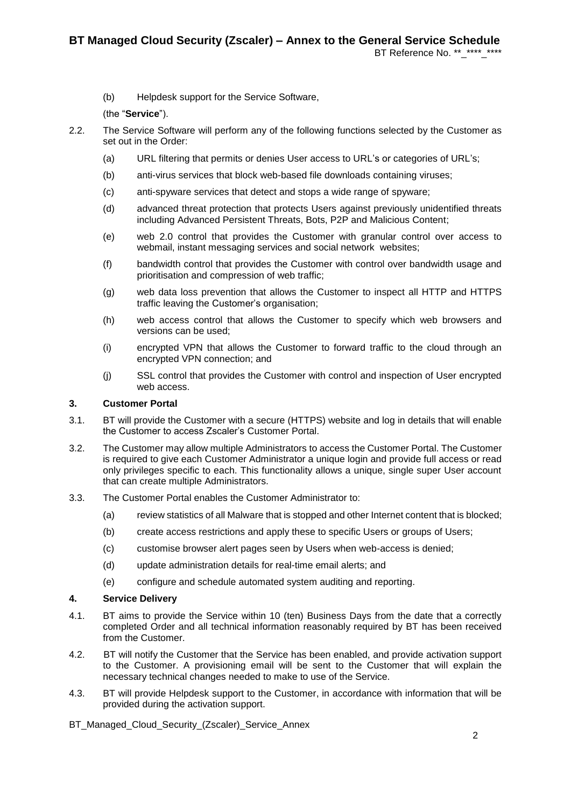- BT Reference No. \*\* \*\*\*\* \*\*\*\*
- (b) Helpdesk support for the Service Software,

# (the "**Service**").

- 2.2. The Service Software will perform any of the following functions selected by the Customer as set out in the Order:
	- (a) URL filtering that permits or denies User access to URL's or categories of URL's;
	- (b) anti-virus services that block web-based file downloads containing viruses;
	- (c) anti-spyware services that detect and stops a wide range of spyware;
	- (d) advanced threat protection that protects Users against previously unidentified threats including Advanced Persistent Threats, Bots, P2P and Malicious Content;
	- (e) web 2.0 control that provides the Customer with granular control over access to webmail, instant messaging services and social network websites;
	- (f) bandwidth control that provides the Customer with control over bandwidth usage and prioritisation and compression of web traffic;
	- (g) web data loss prevention that allows the Customer to inspect all HTTP and HTTPS traffic leaving the Customer's organisation;
	- (h) web access control that allows the Customer to specify which web browsers and versions can be used;
	- (i) encrypted VPN that allows the Customer to forward traffic to the cloud through an encrypted VPN connection; and
	- (j) SSL control that provides the Customer with control and inspection of User encrypted web access.

# <span id="page-1-0"></span>**3. Customer Portal**

- 3.1. BT will provide the Customer with a secure (HTTPS) website and log in details that will enable the Customer to access Zscaler's Customer Portal.
- 3.2. The Customer may allow multiple Administrators to access the Customer Portal. The Customer is required to give each Customer Administrator a unique login and provide full access or read only privileges specific to each. This functionality allows a unique, single super User account that can create multiple Administrators.
- 3.3. The Customer Portal enables the Customer Administrator to:
	- (a) review statistics of all Malware that is stopped and other Internet content that is blocked;
	- (b) create access restrictions and apply these to specific Users or groups of Users;
	- (c) customise browser alert pages seen by Users when web-access is denied;
	- (d) update administration details for real-time email alerts; and
	- (e) configure and schedule automated system auditing and reporting.

# **4. Service Delivery**

- 4.1. BT aims to provide the Service within 10 (ten) Business Days from the date that a correctly completed Order and all technical information reasonably required by BT has been received from the Customer.
- 4.2. BT will notify the Customer that the Service has been enabled, and provide activation support to the Customer. A provisioning email will be sent to the Customer that will explain the necessary technical changes needed to make to use of the Service.
- 4.3. BT will provide Helpdesk support to the Customer, in accordance with information that will be provided during the activation support.
- BT\_Managed\_Cloud\_Security\_(Zscaler)\_Service\_Annex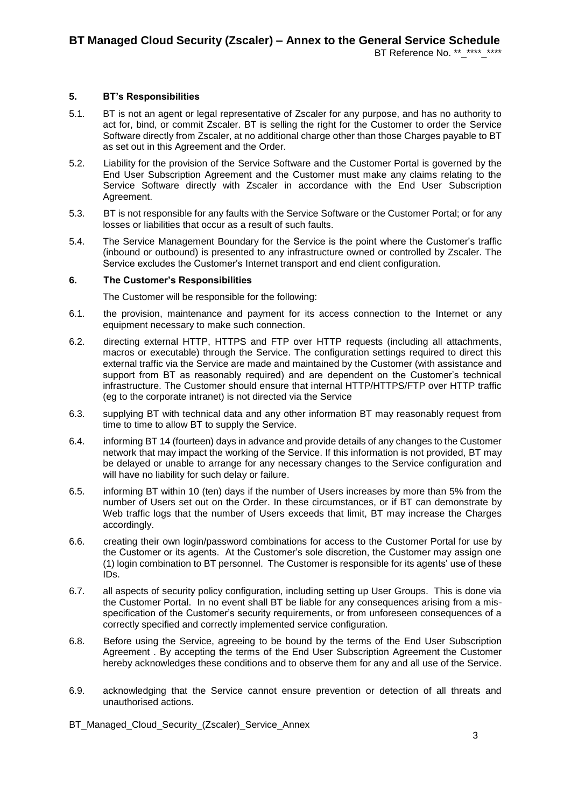# BT Reference No. \*\* \*\*\*\* \*\*\*\*

# **5. BT's Responsibilities**

- 5.1. BT is not an agent or legal representative of Zscaler for any purpose, and has no authority to act for, bind, or commit Zscaler. BT is selling the right for the Customer to order the Service Software directly from Zscaler, at no additional charge other than those Charges payable to BT as set out in this Agreement and the Order.
- 5.2. Liability for the provision of the Service Software and the Customer Portal is governed by the End User Subscription Agreement and the Customer must make any claims relating to the Service Software directly with Zscaler in accordance with the End User Subscription Agreement.
- 5.3. BT is not responsible for any faults with the Service Software or the Customer Portal; or for any losses or liabilities that occur as a result of such faults.
- 5.4. The Service Management Boundary for the Service is the point where the Customer's traffic (inbound or outbound) is presented to any infrastructure owned or controlled by Zscaler. The Service excludes the Customer's Internet transport and end client configuration.

# **6. The Customer's Responsibilities**

The Customer will be responsible for the following:

- 6.1. the provision, maintenance and payment for its access connection to the Internet or any equipment necessary to make such connection.
- 6.2. directing external HTTP, HTTPS and FTP over HTTP requests (including all attachments, macros or executable) through the Service. The configuration settings required to direct this external traffic via the Service are made and maintained by the Customer (with assistance and support from BT as reasonably required) and are dependent on the Customer's technical infrastructure. The Customer should ensure that internal HTTP/HTTPS/FTP over HTTP traffic (eg to the corporate intranet) is not directed via the Service
- 6.3. supplying BT with technical data and any other information BT may reasonably request from time to time to allow BT to supply the Service.
- 6.4. informing BT 14 (fourteen) days in advance and provide details of any changes to the Customer network that may impact the working of the Service. If this information is not provided, BT may be delayed or unable to arrange for any necessary changes to the Service configuration and will have no liability for such delay or failure.
- 6.5. informing BT within 10 (ten) days if the number of Users increases by more than 5% from the number of Users set out on the Order. In these circumstances, or if BT can demonstrate by Web traffic logs that the number of Users exceeds that limit, BT may increase the Charges accordingly.
- 6.6. creating their own login/password combinations for access to the Customer Portal for use by the Customer or its agents. At the Customer's sole discretion, the Customer may assign one (1) login combination to BT personnel. The Customer is responsible for its agents' use of these IDs.
- 6.7. all aspects of security policy configuration, including setting up User Groups. This is done via the Customer Portal. In no event shall BT be liable for any consequences arising from a misspecification of the Customer's security requirements, or from unforeseen consequences of a correctly specified and correctly implemented service configuration.
- 6.8. Before using the Service, agreeing to be bound by the terms of the End User Subscription Agreement . By accepting the terms of the End User Subscription Agreement the Customer hereby acknowledges these conditions and to observe them for any and all use of the Service.
- 6.9. acknowledging that the Service cannot ensure prevention or detection of all threats and unauthorised actions.
- BT\_Managed\_Cloud\_Security\_(Zscaler)\_Service\_Annex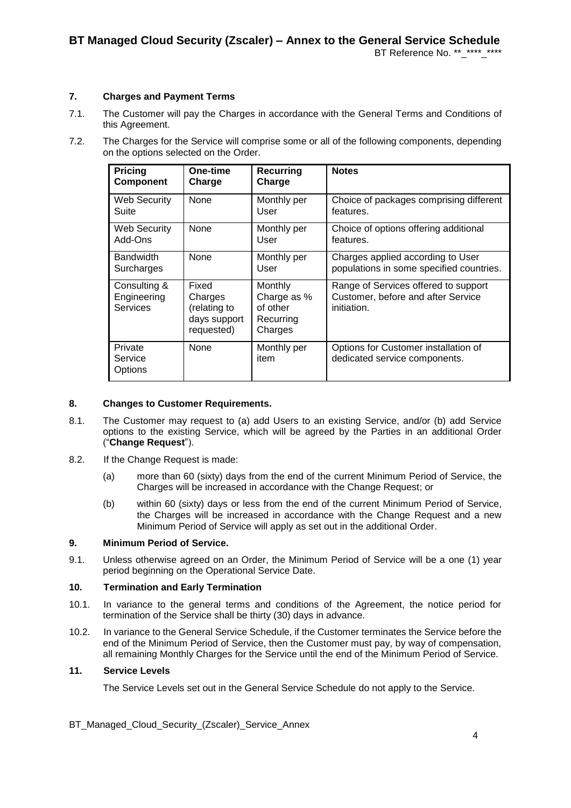# **7. Charges and Payment Terms**

- 7.1. The Customer will pay the Charges in accordance with the General Terms and Conditions of this Agreement.
- 7.2. The Charges for the Service will comprise some or all of the following components, depending on the options selected on the Order.

| Pricing                                        | One-time                                                       | <b>Recurring</b>                                           | <b>Notes</b>                                                                              |
|------------------------------------------------|----------------------------------------------------------------|------------------------------------------------------------|-------------------------------------------------------------------------------------------|
| Component                                      | Charge                                                         | Charge                                                     |                                                                                           |
| <b>Web Security</b>                            | None                                                           | Monthly per                                                | Choice of packages comprising different                                                   |
| Suite                                          |                                                                | User                                                       | features.                                                                                 |
| Web Security                                   | None                                                           | Monthly per                                                | Choice of options offering additional                                                     |
| Add-Ons                                        |                                                                | User                                                       | features.                                                                                 |
| <b>Bandwidth</b>                               | <b>None</b>                                                    | Monthly per                                                | Charges applied according to User                                                         |
| Surcharges                                     |                                                                | User                                                       | populations in some specified countries.                                                  |
| Consulting &<br>Engineering<br><b>Services</b> | Fixed<br>Charges<br>(relating to<br>days support<br>requested) | Monthly<br>Charge as %<br>of other<br>Recurring<br>Charges | Range of Services offered to support<br>Customer, before and after Service<br>initiation. |
| Private<br>Service<br>Options                  | None                                                           | Monthly per<br>item                                        | Options for Customer installation of<br>dedicated service components.                     |

#### **8. Changes to Customer Requirements.**

- <span id="page-3-0"></span>8.1. The Customer may request to (a) add Users to an existing Service, and/or (b) add Service options to the existing Service, which will be agreed by the Parties in an additional Order ("**Change Request**").
- 8.2. If the Change Request is made:
	- (a) more than 60 (sixty) days from the end of the current Minimum Period of Service, the Charges will be increased in accordance with the Change Request; or
	- (b) within 60 (sixty) days or less from the end of the current Minimum Period of Service, the Charges will be increased in accordance with the Change Request and a new Minimum Period of Service will apply as set out in the additional Order.

#### **9. Minimum Period of Service.**

9.1. Unless otherwise agreed on an Order, the Minimum Period of Service will be a one (1) year period beginning on the Operational Service Date.

#### **10. Termination and Early Termination**

- 10.1. In variance to the general terms and conditions of the Agreement, the notice period for termination of the Service shall be thirty (30) days in advance.
- 10.2. In variance to the General Service Schedule, if the Customer terminates the Service before the end of the Minimum Period of Service, then the Customer must pay, by way of compensation, all remaining Monthly Charges for the Service until the end of the Minimum Period of Service.

## **11. Service Levels**

The Service Levels set out in the General Service Schedule do not apply to the Service.

## BT\_Managed\_Cloud\_Security\_(Zscaler)\_Service\_Annex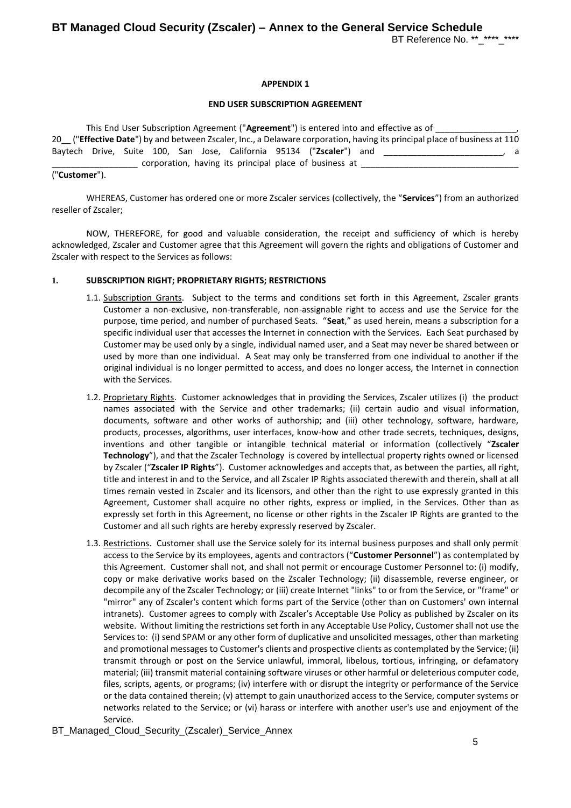## **APPENDIX 1**

#### **END USER SUBSCRIPTION AGREEMENT**

|  |  |  |  |                                                                      | This End User Subscription Agreement ("Agreement") is entered into and effective as of |                                                                                                                           |   |
|--|--|--|--|----------------------------------------------------------------------|----------------------------------------------------------------------------------------|---------------------------------------------------------------------------------------------------------------------------|---|
|  |  |  |  |                                                                      |                                                                                        | 20 ("Effective Date") by and between Zscaler, Inc., a Delaware corporation, having its principal place of business at 110 |   |
|  |  |  |  | Baytech Drive, Suite 100, San Jose, California 95134 ("Zscaler") and |                                                                                        |                                                                                                                           | a |
|  |  |  |  | corporation, having its principal place of business at               |                                                                                        |                                                                                                                           |   |

#### ("**Customer**").

WHEREAS, Customer has ordered one or more Zscaler services (collectively, the "**Services**") from an authorized reseller of Zscaler;

NOW, THEREFORE, for good and valuable consideration, the receipt and sufficiency of which is hereby acknowledged, Zscaler and Customer agree that this Agreement will govern the rights and obligations of Customer and Zscaler with respect to the Services as follows:

## **1. SUBSCRIPTION RIGHT; PROPRIETARY RIGHTS; RESTRICTIONS**

- 1.1. Subscription Grants. Subject to the terms and conditions set forth in this Agreement, Zscaler grants Customer a non-exclusive, non-transferable, non-assignable right to access and use the Service for the purpose, time period, and number of purchased Seats. "**Seat**," as used herein, means a subscription for a specific individual user that accesses the Internet in connection with the Services. Each Seat purchased by Customer may be used only by a single, individual named user, and a Seat may never be shared between or used by more than one individual. A Seat may only be transferred from one individual to another if the original individual is no longer permitted to access, and does no longer access, the Internet in connection with the Services.
- <span id="page-4-0"></span>1.2. Proprietary Rights. Customer acknowledges that in providing the Services, Zscaler utilizes (i) the product names associated with the Service and other trademarks; (ii) certain audio and visual information, documents, software and other works of authorship; and (iii) other technology, software, hardware, products, processes, algorithms, user interfaces, know-how and other trade secrets, techniques, designs, inventions and other tangible or intangible technical material or information (collectively "**Zscaler Technology**"), and that the Zscaler Technology is covered by intellectual property rights owned or licensed by Zscaler ("**Zscaler IP Rights**"). Customer acknowledges and accepts that, as between the parties, all right, title and interest in and to the Service, and all Zscaler IP Rights associated therewith and therein, shall at all times remain vested in Zscaler and its licensors, and other than the right to use expressly granted in this Agreement, Customer shall acquire no other rights, express or implied, in the Services. Other than as expressly set forth in this Agreement, no license or other rights in the Zscaler IP Rights are granted to the Customer and all such rights are hereby expressly reserved by Zscaler.
- <span id="page-4-1"></span>1.3. Restrictions. Customer shall use the Service solely for its internal business purposes and shall only permit access to the Service by its employees, agents and contractors ("**Customer Personnel**") as contemplated by this Agreement. Customer shall not, and shall not permit or encourage Customer Personnel to: (i) modify, copy or make derivative works based on the Zscaler Technology; (ii) disassemble, reverse engineer, or decompile any of the Zscaler Technology; or (iii) create Internet "links" to or from the Service, or "frame" or "mirror" any of Zscaler's content which forms part of the Service (other than on Customers' own internal intranets). Customer agrees to comply with Zscaler's Acceptable Use Policy as published by Zscaler on its website. Without limiting the restrictions set forth in any Acceptable Use Policy, Customer shall not use the Services to: (i) send SPAM or any other form of duplicative and unsolicited messages, other than marketing and promotional messages to Customer's clients and prospective clients as contemplated by the Service; (ii) transmit through or post on the Service unlawful, immoral, libelous, tortious, infringing, or defamatory material; (iii) transmit material containing software viruses or other harmful or deleterious computer code, files, scripts, agents, or programs; (iv) interfere with or disrupt the integrity or performance of the Service or the data contained therein; (v) attempt to gain unauthorized access to the Service, computer systems or networks related to the Service; or (vi) harass or interfere with another user's use and enjoyment of the Service.
- BT\_Managed\_Cloud\_Security\_(Zscaler)\_Service\_Annex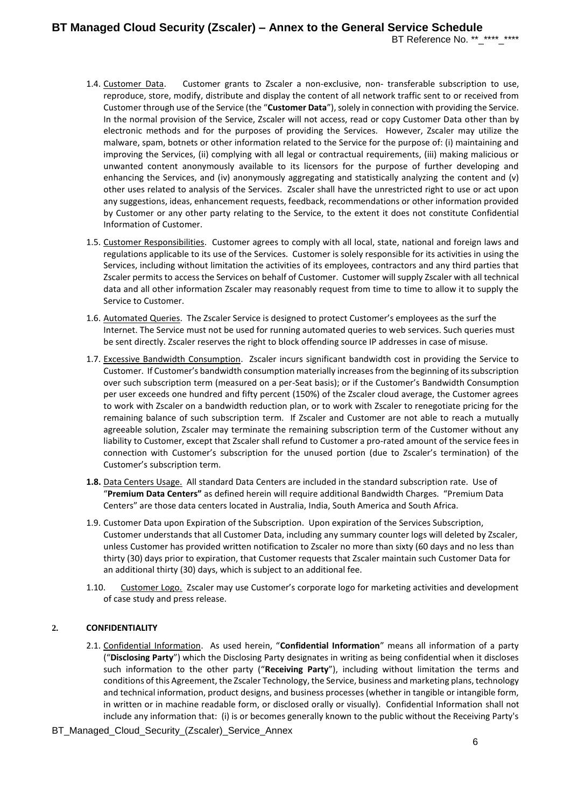# **BT Managed Cloud Security (Zscaler) – Annex to the General Service Schedule** BT Reference No. \*\*\_\*\*\*\*\_\*\*\*\*

- <span id="page-5-0"></span>1.4. Customer Data. Customer grants to Zscaler a non-exclusive, non- transferable subscription to use, reproduce, store, modify, distribute and display the content of all network traffic sent to or received from Customer through use of the Service (the "**Customer Data**"), solely in connection with providing the Service. In the normal provision of the Service, Zscaler will not access, read or copy Customer Data other than by electronic methods and for the purposes of providing the Services. However, Zscaler may utilize the malware, spam, botnets or other information related to the Service for the purpose of: (i) maintaining and improving the Services, (ii) complying with all legal or contractual requirements, (iii) making malicious or unwanted content anonymously available to its licensors for the purpose of further developing and enhancing the Services, and (iv) anonymously aggregating and statistically analyzing the content and (v) other uses related to analysis of the Services. Zscaler shall have the unrestricted right to use or act upon any suggestions, ideas, enhancement requests, feedback, recommendations or other information provided by Customer or any other party relating to the Service, to the extent it does not constitute Confidential Information of Customer.
- <span id="page-5-1"></span>1.5. Customer Responsibilities. Customer agrees to comply with all local, state, national and foreign laws and regulations applicable to its use of the Services. Customer is solely responsible for its activities in using the Services, including without limitation the activities of its employees, contractors and any third parties that Zscaler permits to access the Services on behalf of Customer. Customer will supply Zscaler with all technical data and all other information Zscaler may reasonably request from time to time to allow it to supply the Service to Customer.
- 1.6. Automated Queries. The Zscaler Service is designed to protect Customer's employees as the surf the Internet. The Service must not be used for running automated queries to web services. Such queries must be sent directly. Zscaler reserves the right to block offending source IP addresses in case of misuse.
- 1.7. Excessive Bandwidth Consumption. Zscaler incurs significant bandwidth cost in providing the Service to Customer. If Customer's bandwidth consumption materially increases from the beginning of its subscription over such subscription term (measured on a per-Seat basis); or if the Customer's Bandwidth Consumption per user exceeds one hundred and fifty percent (150%) of the Zscaler cloud average, the Customer agrees to work with Zscaler on a bandwidth reduction plan, or to work with Zscaler to renegotiate pricing for the remaining balance of such subscription term. If Zscaler and Customer are not able to reach a mutually agreeable solution, Zscaler may terminate the remaining subscription term of the Customer without any liability to Customer, except that Zscaler shall refund to Customer a pro-rated amount of the service fees in connection with Customer's subscription for the unused portion (due to Zscaler's termination) of the Customer's subscription term.
- **1.8.** Data Centers Usage. All standard Data Centers are included in the standard subscription rate. Use of "**Premium Data Centers"** as defined herein will require additional Bandwidth Charges. "Premium Data Centers" are those data centers located in Australia, India, South America and South Africa.
- 1.9. Customer Data upon Expiration of the Subscription. Upon expiration of the Services Subscription, Customer understands that all Customer Data, including any summary counter logs will deleted by Zscaler, unless Customer has provided written notification to Zscaler no more than sixty (60 days and no less than thirty (30) days prior to expiration, that Customer requests that Zscaler maintain such Customer Data for an additional thirty (30) days, which is subject to an additional fee.
- 1.10. Customer Logo. Zscaler may use Customer's corporate logo for marketing activities and development of case study and press release.

# <span id="page-5-2"></span>**2. CONFIDENTIALITY**

- 2.1. Confidential Information. As used herein, "**Confidential Information**" means all information of a party ("**Disclosing Party**") which the Disclosing Party designates in writing as being confidential when it discloses such information to the other party ("**Receiving Party**"), including without limitation the terms and conditions of this Agreement, the Zscaler Technology, the Service, business and marketing plans, technology and technical information, product designs, and business processes (whether in tangible or intangible form, in written or in machine readable form, or disclosed orally or visually). Confidential Information shall not include any information that: (i) is or becomes generally known to the public without the Receiving Party's
- BT\_Managed\_Cloud\_Security\_(Zscaler)\_Service\_Annex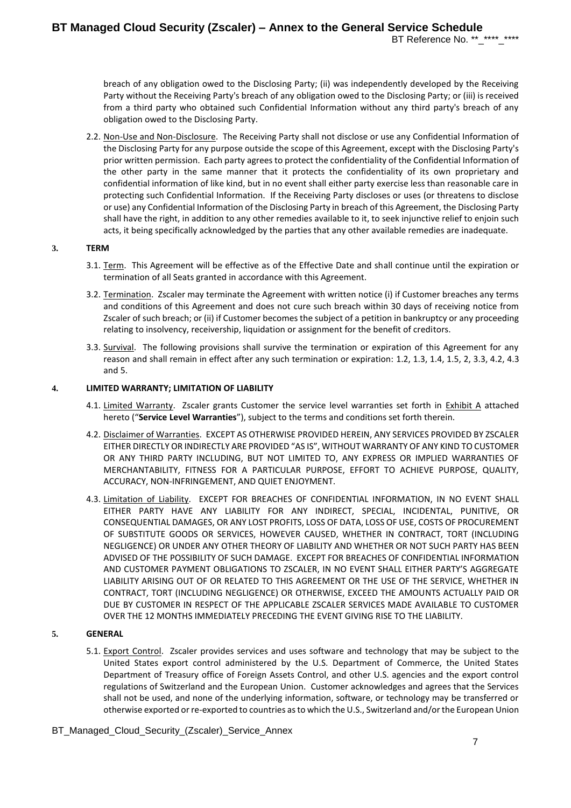breach of any obligation owed to the Disclosing Party; (ii) was independently developed by the Receiving Party without the Receiving Party's breach of any obligation owed to the Disclosing Party; or (iii) is received from a third party who obtained such Confidential Information without any third party's breach of any obligation owed to the Disclosing Party.

2.2. Non-Use and Non-Disclosure. The Receiving Party shall not disclose or use any Confidential Information of the Disclosing Party for any purpose outside the scope of this Agreement, except with the Disclosing Party's prior written permission. Each party agrees to protect the confidentiality of the Confidential Information of the other party in the same manner that it protects the confidentiality of its own proprietary and confidential information of like kind, but in no event shall either party exercise less than reasonable care in protecting such Confidential Information. If the Receiving Party discloses or uses (or threatens to disclose or use) any Confidential Information of the Disclosing Party in breach of this Agreement, the Disclosing Party shall have the right, in addition to any other remedies available to it, to seek injunctive relief to enjoin such acts, it being specifically acknowledged by the parties that any other available remedies are inadequate.

## **3. TERM**

- 3.1. Term. This Agreement will be effective as of the Effective Date and shall continue until the expiration or termination of all Seats granted in accordance with this Agreement.
- 3.2. Termination. Zscaler may terminate the Agreement with written notice (i) if Customer breaches any terms and conditions of this Agreement and does not cure such breach within 30 days of receiving notice from Zscaler of such breach; or (ii) if Customer becomes the subject of a petition in bankruptcy or any proceeding relating to insolvency, receivership, liquidation or assignment for the benefit of creditors.
- <span id="page-6-0"></span>3.3. Survival. The following provisions shall survive the termination or expiration of this Agreement for any reason and shall remain in effect after any such termination or expiration: [1.2,](#page-4-0) [1.3,](#page-4-1) [1.4,](#page-5-0) [1.5,](#page-5-1) [2,](#page-5-2) [3.3,](#page-6-0) [4.2,](#page-6-1) [4.3](#page-6-2) an[d 5.](#page-6-3)

**4. LIMITED WARRANTY; LIMITATION OF LIABILITY**

- 4.1. Limited Warranty. Zscaler grants Customer the service level warranties set forth in Exhibit A attached hereto ("**Service Level Warranties**"), subject to the terms and conditions set forth therein.
- <span id="page-6-1"></span>4.2. Disclaimer of Warranties. EXCEPT AS OTHERWISE PROVIDED HEREIN, ANY SERVICES PROVIDED BY ZSCALER EITHER DIRECTLY OR INDIRECTLY ARE PROVIDED "AS IS", WITHOUT WARRANTY OF ANY KIND TO CUSTOMER OR ANY THIRD PARTY INCLUDING, BUT NOT LIMITED TO, ANY EXPRESS OR IMPLIED WARRANTIES OF MERCHANTABILITY, FITNESS FOR A PARTICULAR PURPOSE, EFFORT TO ACHIEVE PURPOSE, QUALITY, ACCURACY, NON-INFRINGEMENT, AND QUIET ENJOYMENT.
- <span id="page-6-2"></span>4.3. Limitation of Liability. EXCEPT FOR BREACHES OF CONFIDENTIAL INFORMATION, IN NO EVENT SHALL EITHER PARTY HAVE ANY LIABILITY FOR ANY INDIRECT, SPECIAL, INCIDENTAL, PUNITIVE, OR CONSEQUENTIAL DAMAGES, OR ANY LOST PROFITS, LOSS OF DATA, LOSS OF USE, COSTS OF PROCUREMENT OF SUBSTITUTE GOODS OR SERVICES, HOWEVER CAUSED, WHETHER IN CONTRACT, TORT (INCLUDING NEGLIGENCE) OR UNDER ANY OTHER THEORY OF LIABILITY AND WHETHER OR NOT SUCH PARTY HAS BEEN ADVISED OF THE POSSIBILITY OF SUCH DAMAGE. EXCEPT FOR BREACHES OF CONFIDENTIAL INFORMATION AND CUSTOMER PAYMENT OBLIGATIONS TO ZSCALER, IN NO EVENT SHALL EITHER PARTY'S AGGREGATE LIABILITY ARISING OUT OF OR RELATED TO THIS AGREEMENT OR THE USE OF THE SERVICE, WHETHER IN CONTRACT, TORT (INCLUDING NEGLIGENCE) OR OTHERWISE, EXCEED THE AMOUNTS ACTUALLY PAID OR DUE BY CUSTOMER IN RESPECT OF THE APPLICABLE ZSCALER SERVICES MADE AVAILABLE TO CUSTOMER OVER THE 12 MONTHS IMMEDIATELY PRECEDING THE EVENT GIVING RISE TO THE LIABILITY.

# <span id="page-6-3"></span>**5. GENERAL**

5.1. Export Control. Zscaler provides services and uses software and technology that may be subject to the United States export control administered by the U.S. Department of Commerce, the United States Department of Treasury office of Foreign Assets Control, and other U.S. agencies and the export control regulations of Switzerland and the European Union. Customer acknowledges and agrees that the Services shall not be used, and none of the underlying information, software, or technology may be transferred or otherwise exported or re-exported to countries as to which the U.S., Switzerland and/or the European Union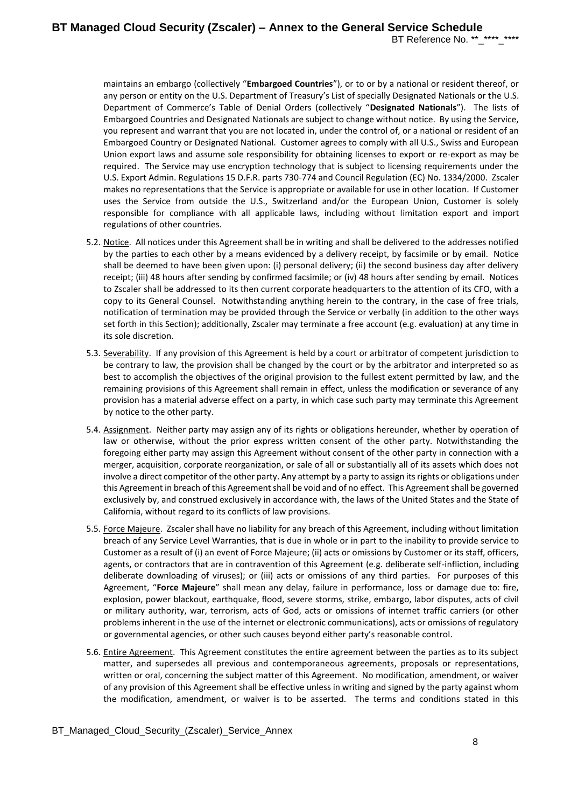maintains an embargo (collectively "**Embargoed Countries**"), or to or by a national or resident thereof, or any person or entity on the U.S. Department of Treasury's List of specially Designated Nationals or the U.S. Department of Commerce's Table of Denial Orders (collectively "**Designated Nationals**"). The lists of Embargoed Countries and Designated Nationals are subject to change without notice. By using the Service, you represent and warrant that you are not located in, under the control of, or a national or resident of an Embargoed Country or Designated National. Customer agrees to comply with all U.S., Swiss and European Union export laws and assume sole responsibility for obtaining licenses to export or re-export as may be required. The Service may use encryption technology that is subject to licensing requirements under the U.S. Export Admin. Regulations 15 D.F.R. parts 730-774 and Council Regulation (EC) No. 1334/2000. Zscaler makes no representations that the Service is appropriate or available for use in other location. If Customer uses the Service from outside the U.S., Switzerland and/or the European Union, Customer is solely responsible for compliance with all applicable laws, including without limitation export and import regulations of other countries.

- 5.2. Notice. All notices under this Agreement shall be in writing and shall be delivered to the addresses notified by the parties to each other by a means evidenced by a delivery receipt, by facsimile or by email. Notice shall be deemed to have been given upon: (i) personal delivery; (ii) the second business day after delivery receipt; (iii) 48 hours after sending by confirmed facsimile; or (iv) 48 hours after sending by email. Notices to Zscaler shall be addressed to its then current corporate headquarters to the attention of its CFO, with a copy to its General Counsel. Notwithstanding anything herein to the contrary, in the case of free trials, notification of termination may be provided through the Service or verbally (in addition to the other ways set forth in this Section); additionally, Zscaler may terminate a free account (e.g. evaluation) at any time in its sole discretion.
- 5.3. Severability. If any provision of this Agreement is held by a court or arbitrator of competent jurisdiction to be contrary to law, the provision shall be changed by the court or by the arbitrator and interpreted so as best to accomplish the objectives of the original provision to the fullest extent permitted by law, and the remaining provisions of this Agreement shall remain in effect, unless the modification or severance of any provision has a material adverse effect on a party, in which case such party may terminate this Agreement by notice to the other party.
- 5.4. Assignment. Neither party may assign any of its rights or obligations hereunder, whether by operation of law or otherwise, without the prior express written consent of the other party. Notwithstanding the foregoing either party may assign this Agreement without consent of the other party in connection with a merger, acquisition, corporate reorganization, or sale of all or substantially all of its assets which does not involve a direct competitor of the other party. Any attempt by a party to assign its rights or obligations under this Agreement in breach of this Agreement shall be void and of no effect. This Agreement shall be governed exclusively by, and construed exclusively in accordance with, the laws of the United States and the State of California, without regard to its conflicts of law provisions.
- 5.5. Force Majeure. Zscaler shall have no liability for any breach of this Agreement, including without limitation breach of any Service Level Warranties, that is due in whole or in part to the inability to provide service to Customer as a result of (i) an event of Force Majeure; (ii) acts or omissions by Customer or its staff, officers, agents, or contractors that are in contravention of this Agreement (e.g. deliberate self-infliction, including deliberate downloading of viruses); or (iii) acts or omissions of any third parties. For purposes of this Agreement, "**Force Majeure**" shall mean any delay, failure in performance, loss or damage due to: fire, explosion, power blackout, earthquake, flood, severe storms, strike, embargo, labor disputes, acts of civil or military authority, war, terrorism, acts of God, acts or omissions of internet traffic carriers (or other problems inherent in the use of the internet or electronic communications), acts or omissions of regulatory or governmental agencies, or other such causes beyond either party's reasonable control.
- 5.6. Entire Agreement. This Agreement constitutes the entire agreement between the parties as to its subject matter, and supersedes all previous and contemporaneous agreements, proposals or representations, written or oral, concerning the subject matter of this Agreement. No modification, amendment, or waiver of any provision of this Agreement shall be effective unless in writing and signed by the party against whom the modification, amendment, or waiver is to be asserted. The terms and conditions stated in this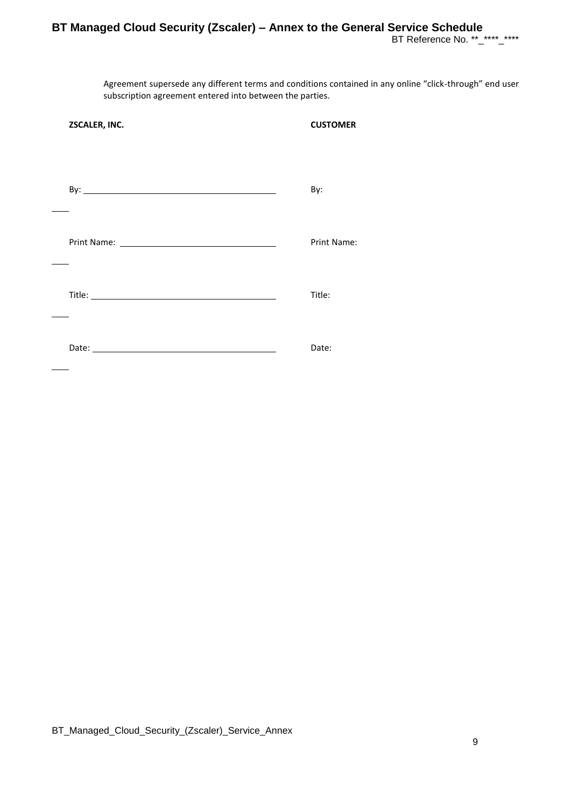# **BT Managed Cloud Security (Zscaler) – Annex to the General Service Schedule** BT Reference No. \*\*\_\*\*\*\*\_\*\*\*\*

Agreement supersede any different terms and conditions contained in any online "click-through" end user subscription agreement entered into between the parties.

| ZSCALER, INC. | <b>CUSTOMER</b> |
|---------------|-----------------|
|               | By:             |
|               | Print Name:     |
|               | Title:          |
|               | Date:           |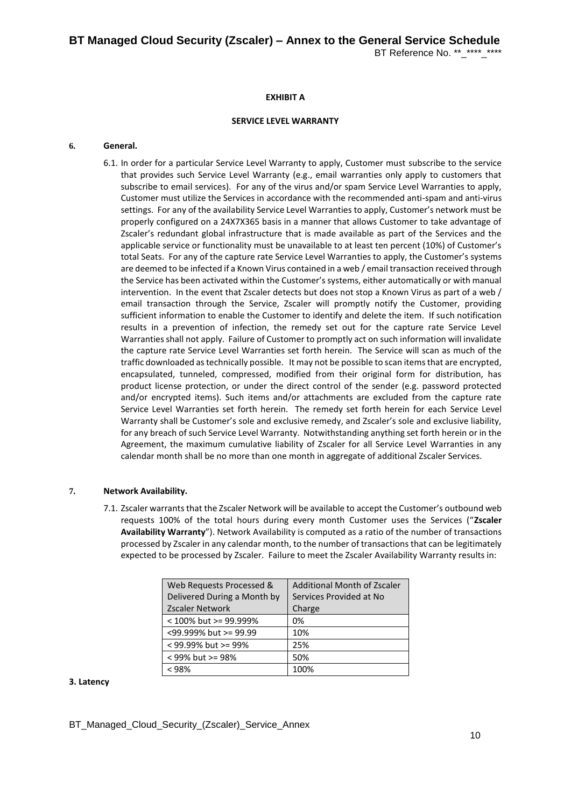## **EXHIBIT A**

# **SERVICE LEVEL WARRANTY**

#### **6. General.**

6.1. In order for a particular Service Level Warranty to apply, Customer must subscribe to the service that provides such Service Level Warranty (e.g., email warranties only apply to customers that subscribe to email services). For any of the virus and/or spam Service Level Warranties to apply, Customer must utilize the Services in accordance with the recommended anti-spam and anti-virus settings. For any of the availability Service Level Warranties to apply, Customer's network must be properly configured on a 24X7X365 basis in a manner that allows Customer to take advantage of Zscaler's redundant global infrastructure that is made available as part of the Services and the applicable service or functionality must be unavailable to at least ten percent (10%) of Customer's total Seats. For any of the capture rate Service Level Warranties to apply, the Customer's systems are deemed to be infected if a Known Virus contained in a web / email transaction received through the Service has been activated within the Customer's systems, either automatically or with manual intervention. In the event that Zscaler detects but does not stop a Known Virus as part of a web / email transaction through the Service, Zscaler will promptly notify the Customer, providing sufficient information to enable the Customer to identify and delete the item. If such notification results in a prevention of infection, the remedy set out for the capture rate Service Level Warranties shall not apply. Failure of Customer to promptly act on such information will invalidate the capture rate Service Level Warranties set forth herein. The Service will scan as much of the traffic downloaded as technically possible. It may not be possible to scan items that are encrypted, encapsulated, tunneled, compressed, modified from their original form for distribution, has product license protection, or under the direct control of the sender (e.g. password protected and/or encrypted items). Such items and/or attachments are excluded from the capture rate Service Level Warranties set forth herein. The remedy set forth herein for each Service Level Warranty shall be Customer's sole and exclusive remedy, and Zscaler's sole and exclusive liability, for any breach of such Service Level Warranty. Notwithstanding anything set forth herein or in the Agreement, the maximum cumulative liability of Zscaler for all Service Level Warranties in any calendar month shall be no more than one month in aggregate of additional Zscaler Services.

#### **7. Network Availability.**

7.1. Zscaler warrants that the Zscaler Network will be available to accept the Customer's outbound web requests 100% of the total hours during every month Customer uses the Services ("**Zscaler Availability Warranty**"). Network Availability is computed as a ratio of the number of transactions processed by Zscaler in any calendar month, to the number of transactions that can be legitimately expected to be processed by Zscaler. Failure to meet the Zscaler Availability Warranty results in:

| Web Requests Processed &    | <b>Additional Month of Zscaler</b> |  |  |
|-----------------------------|------------------------------------|--|--|
| Delivered During a Month by | Services Provided at No            |  |  |
| <b>Zscaler Network</b>      | Charge                             |  |  |
| < 100% but >= 99.999%       | 0%                                 |  |  |
| <99.999% but >= 99.99       | 10%                                |  |  |
| < 99.99% but >= 99%         | 25%                                |  |  |
| $<$ 99% but >= 98%          | 50%                                |  |  |
| $<$ 98%                     | 100%                               |  |  |

#### **3. Latency**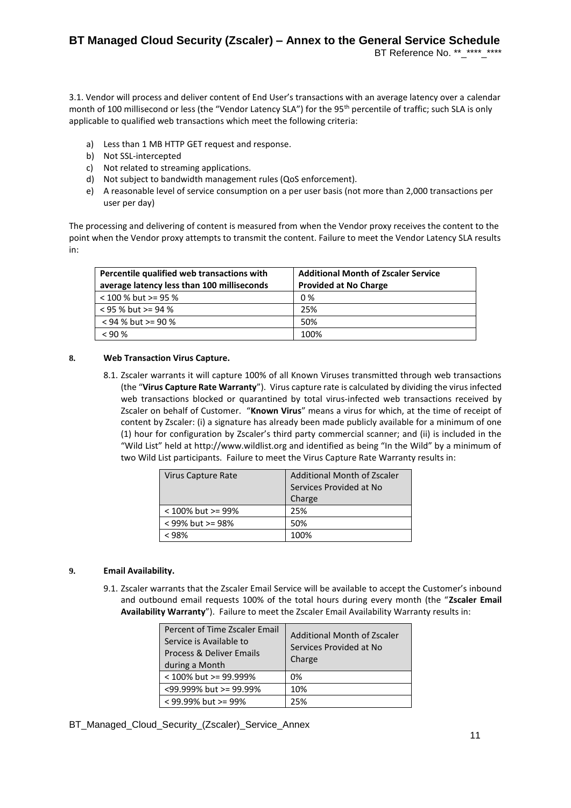3.1. Vendor will process and deliver content of End User's transactions with an average latency over a calendar month of 100 millisecond or less (the "Vendor Latency SLA") for the 95<sup>th</sup> percentile of traffic; such SLA is only applicable to qualified web transactions which meet the following criteria:

- a) Less than 1 MB HTTP GET request and response.
- b) Not SSL-intercepted
- c) Not related to streaming applications.
- d) Not subject to bandwidth management rules (QoS enforcement).
- e) A reasonable level of service consumption on a per user basis (not more than 2,000 transactions per user per day)

The processing and delivering of content is measured from when the Vendor proxy receives the content to the point when the Vendor proxy attempts to transmit the content. Failure to meet the Vendor Latency SLA results in:

| Percentile qualified web transactions with | <b>Additional Month of Zscaler Service</b> |  |
|--------------------------------------------|--------------------------------------------|--|
| average latency less than 100 milliseconds | <b>Provided at No Charge</b>               |  |
| $<$ 100 % but >= 95 %                      | 0 %                                        |  |
| $<$ 95 % but >= 94 %                       | 25%                                        |  |
| $<$ 94 % but >= 90 %                       | 50%                                        |  |
| < 90%                                      | 100%                                       |  |

#### **8. Web Transaction Virus Capture.**

8.1. Zscaler warrants it will capture 100% of all Known Viruses transmitted through web transactions (the "**Virus Capture Rate Warranty**"). Virus capture rate is calculated by dividing the virus infected web transactions blocked or quarantined by total virus-infected web transactions received by Zscaler on behalf of Customer. "**Known Virus**" means a virus for which, at the time of receipt of content by Zscaler: (i) a signature has already been made publicly available for a minimum of one (1) hour for configuration by Zscaler's third party commercial scanner; and (ii) is included in the "Wild List" held at http://www.wildlist.org and identified as being "In the Wild" by a minimum of two Wild List participants. Failure to meet the Virus Capture Rate Warranty results in:

| Virus Capture Rate | Additional Month of Zscaler |
|--------------------|-----------------------------|
|                    | Services Provided at No     |
|                    | Charge                      |
| < 100% but >= 99%  | 25%                         |
| $<$ 99% but >= 98% | 50%                         |
| < ዓጸ%              | 100%                        |

#### **9. Email Availability.**

9.1. Zscaler warrants that the Zscaler Email Service will be available to accept the Customer's inbound and outbound email requests 100% of the total hours during every month (the "**Zscaler Email Availability Warranty**"). Failure to meet the Zscaler Email Availability Warranty results in:

| Percent of Time Zscaler Email<br>Service is Available to<br>Process & Deliver Emails<br>during a Month | Additional Month of Zscaler<br>Services Provided at No<br>Charge |  |
|--------------------------------------------------------------------------------------------------------|------------------------------------------------------------------|--|
| < 100% but >= 99.999%                                                                                  | 0%                                                               |  |
| <99.999% but >= 99.99%                                                                                 | 10%                                                              |  |
| $<$ 99.99% but >= 99%                                                                                  | 25%                                                              |  |

BT\_Managed\_Cloud\_Security\_(Zscaler)\_Service\_Annex